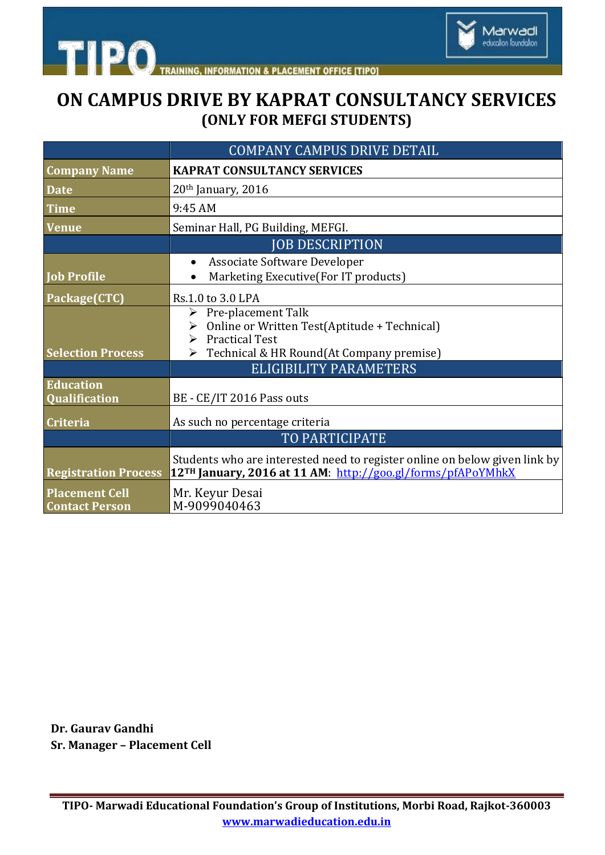

## **ON CAMPUS DRIVE BY KAPRAT CONSULTANCY SERVICES (ONLY FOR MEFGI STUDENTS)**

Marwadi<br>education foundation

|                                                | <b>COMPANY CAMPUS DRIVE DETAIL</b>                                                                                                                                     |
|------------------------------------------------|------------------------------------------------------------------------------------------------------------------------------------------------------------------------|
| <b>Company Name</b>                            | <b>KAPRAT CONSULTANCY SERVICES</b>                                                                                                                                     |
| <b>Date</b>                                    | $20th$ January, 2016                                                                                                                                                   |
| <b>Time</b>                                    | 9:45 AM                                                                                                                                                                |
| <b>Venue</b>                                   | Seminar Hall, PG Building, MEFGI.                                                                                                                                      |
|                                                | <b>JOB DESCRIPTION</b>                                                                                                                                                 |
| <b>Job Profile</b>                             | Associate Software Developer<br>$\bullet$<br>Marketing Executive(For IT products)                                                                                      |
| Package(CTC)                                   | Rs.1.0 to 3.0 LPA                                                                                                                                                      |
| <b>Selection Process</b>                       | $\triangleright$ Pre-placement Talk<br>> Online or Written Test(Aptitude + Technical)<br>$\triangleright$ Practical Test<br>▶ Technical & HR Round(At Company premise) |
|                                                | ELIGIBILITY PARAMETERS                                                                                                                                                 |
| <b>Education</b><br><b>Qualification</b>       | BE - CE/IT 2016 Pass outs                                                                                                                                              |
| <b>Criteria</b>                                | As such no percentage criteria                                                                                                                                         |
|                                                | TO PARTICIPATE                                                                                                                                                         |
| <b>Registration Process</b>                    | Students who are interested need to register online on below given link by<br>12TH January, 2016 at 11 AM: http://goo.gl/forms/pfAPoYMhkX                              |
| <b>Placement Cell</b><br><b>Contact Person</b> | Mr. Keyur Desai<br>M-9099040463                                                                                                                                        |

**Dr. Gaurav Gandhi Sr. Manager – Placement Cell**

**TIPO- Marwadi Educational Foundation's Group of Institutions, Morbi Road, Rajkot-360003 www.marwadieducation.edu.in**